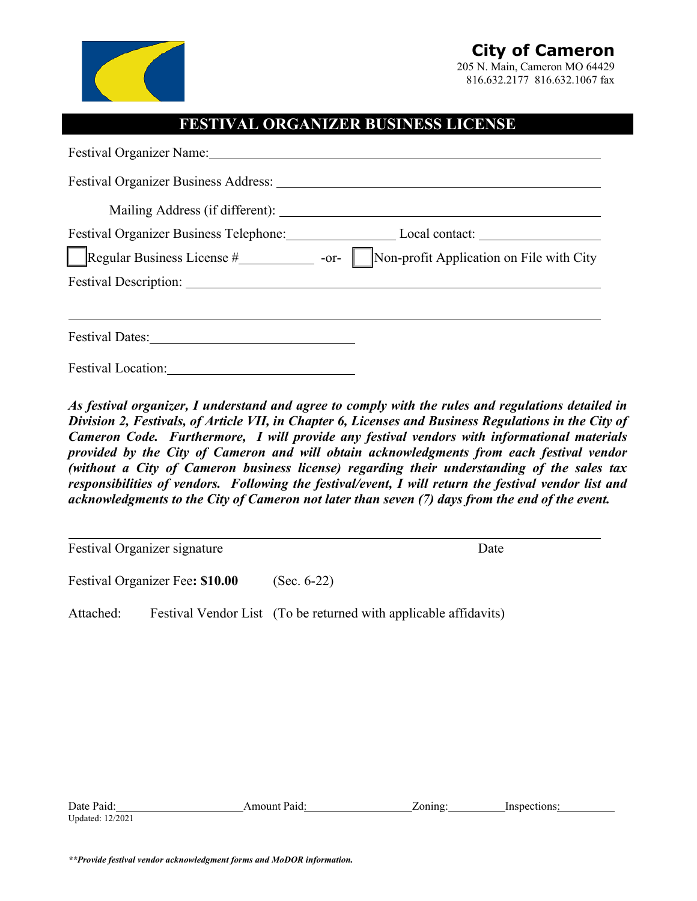

## **City of Cameron**

205 N. Main, Cameron MO 64429 816.632.2177 816.632.1067 fax

## **FESTIVAL ORGANIZER BUSINESS LICENSE**

| Festival Organizer Name: Names |                                                                                                |  |  |  |  |
|--------------------------------|------------------------------------------------------------------------------------------------|--|--|--|--|
|                                |                                                                                                |  |  |  |  |
|                                |                                                                                                |  |  |  |  |
|                                | Festival Organizer Business Telephone: Local contact: Local contact:                           |  |  |  |  |
|                                | Regular Business License $\#$ __________________ -or- Non-profit Application on File with City |  |  |  |  |
|                                |                                                                                                |  |  |  |  |
|                                |                                                                                                |  |  |  |  |
|                                |                                                                                                |  |  |  |  |
| <b>Festival Location:</b>      |                                                                                                |  |  |  |  |

*As festival organizer, I understand and agree to comply with the rules and regulations detailed in Division 2, Festivals, of Article VII, in Chapter 6, Licenses and Business Regulations in the City of Cameron Code. Furthermore, I will provide any festival vendors with informational materials provided by the City of Cameron and will obtain acknowledgments from each festival vendor (without a City of Cameron business license) regarding their understanding of the sales tax responsibilities of vendors. Following the festival/event, I will return the festival vendor list and acknowledgments to the City of Cameron not later than seven (7) days from the end of the event.* 

Festival Organizer signature Date

 $\overline{a}$ 

Festival Organizer Fee**: \$10.00** (Sec. 6-22)

Attached: Festival Vendor List (To be returned with applicable affidavits)

| Date<br>Paid      | mount)،<br>Paic | $\alpha$ nın $\alpha$ | n۹<br>'n۴ |  |
|-------------------|-----------------|-----------------------|-----------|--|
| Updated:<br>2/202 |                 |                       |           |  |